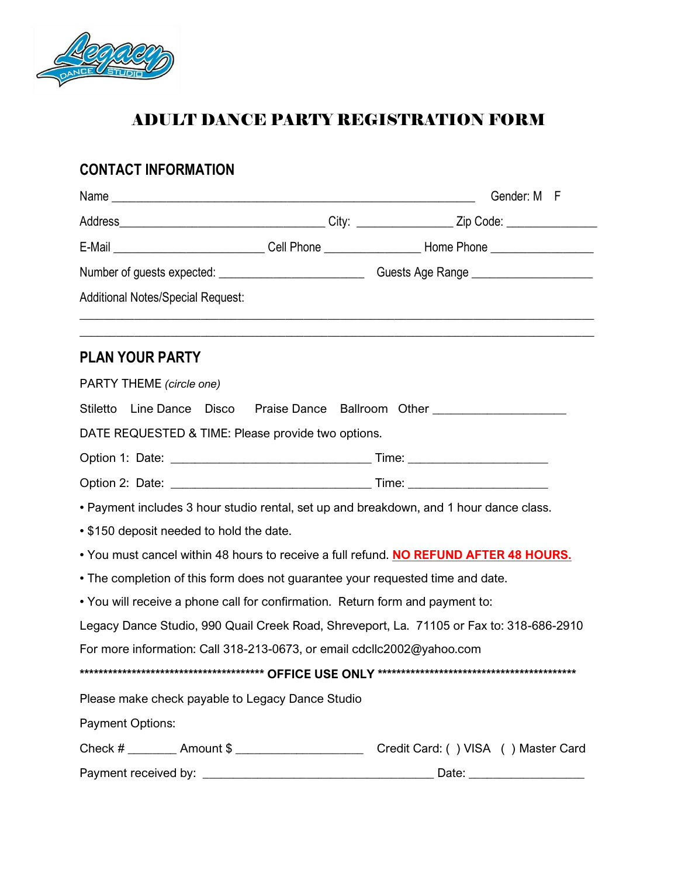

# ADULT DANCE PARTY REGISTRATION FORM

## **CONTACT INFORMATION**

|                                                                                |                                                                                                     | Gender: M F                                                                                               |
|--------------------------------------------------------------------------------|-----------------------------------------------------------------------------------------------------|-----------------------------------------------------------------------------------------------------------|
|                                                                                |                                                                                                     |                                                                                                           |
|                                                                                |                                                                                                     | E-Mail _______________________________Cell Phone _________________________Home Phone ____________________ |
|                                                                                | Number of guests expected: _________________________________Guests Age Range ______________________ |                                                                                                           |
| <b>Additional Notes/Special Request:</b>                                       |                                                                                                     |                                                                                                           |
| <b>PLAN YOUR PARTY</b>                                                         |                                                                                                     |                                                                                                           |
| PARTY THEME (circle one)                                                       |                                                                                                     |                                                                                                           |
| Stiletto                                                                       |                                                                                                     | Line Dance  Disco  Praise Dance  Ballroom  Other _______________________________                          |
| DATE REQUESTED & TIME: Please provide two options.                             |                                                                                                     |                                                                                                           |
|                                                                                |                                                                                                     |                                                                                                           |
|                                                                                |                                                                                                     |                                                                                                           |
|                                                                                |                                                                                                     | • Payment includes 3 hour studio rental, set up and breakdown, and 1 hour dance class.                    |
| • \$150 deposit needed to hold the date.                                       |                                                                                                     |                                                                                                           |
|                                                                                |                                                                                                     | • You must cancel within 48 hours to receive a full refund. NO REFUND AFTER 48 HOURS.                     |
| • The completion of this form does not guarantee your requested time and date. |                                                                                                     |                                                                                                           |
| . You will receive a phone call for confirmation. Return form and payment to:  |                                                                                                     |                                                                                                           |
|                                                                                |                                                                                                     | Legacy Dance Studio, 990 Quail Creek Road, Shreveport, La. 71105 or Fax to: 318-686-2910                  |
| For more information: Call 318-213-0673, or email cdcllc2002@yahoo.com         |                                                                                                     |                                                                                                           |
|                                                                                |                                                                                                     |                                                                                                           |
| Please make check payable to Legacy Dance Studio                               |                                                                                                     |                                                                                                           |
| <b>Payment Options:</b>                                                        |                                                                                                     |                                                                                                           |
| Check # _________ Amount \$ ______________________                             |                                                                                                     | Credit Card: () VISA () Master Card                                                                       |
|                                                                                |                                                                                                     |                                                                                                           |